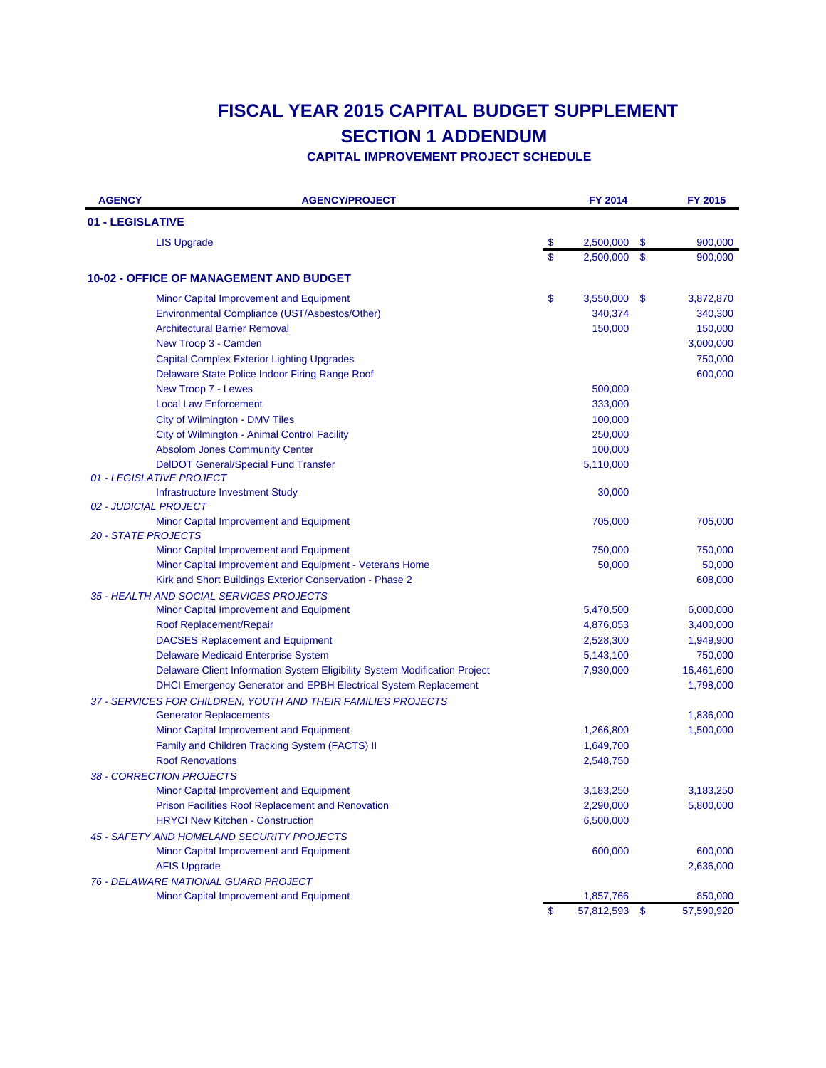| <b>AGENCY</b>              | <b>AGENCY/PROJECT</b>                                                      |               | FY 2014       |               | FY 2015    |
|----------------------------|----------------------------------------------------------------------------|---------------|---------------|---------------|------------|
| 01 - LEGISLATIVE           |                                                                            |               |               |               |            |
|                            | <b>LIS Upgrade</b>                                                         | $\sqrt[6]{3}$ | 2,500,000     | \$            | 900,000    |
|                            |                                                                            | \$            | 2,500,000     | $\mathbf{\$}$ | 900,000    |
|                            | <b>10-02 - OFFICE OF MANAGEMENT AND BUDGET</b>                             |               |               |               |            |
|                            | Minor Capital Improvement and Equipment                                    | \$            | 3,550,000 \$  |               | 3,872,870  |
|                            | Environmental Compliance (UST/Asbestos/Other)                              |               | 340,374       |               | 340,300    |
|                            | <b>Architectural Barrier Removal</b>                                       |               | 150,000       |               | 150,000    |
|                            | New Troop 3 - Camden                                                       |               |               |               | 3,000,000  |
|                            | <b>Capital Complex Exterior Lighting Upgrades</b>                          |               |               |               | 750,000    |
|                            | Delaware State Police Indoor Firing Range Roof                             |               |               |               | 600,000    |
|                            | New Troop 7 - Lewes                                                        |               | 500,000       |               |            |
|                            | <b>Local Law Enforcement</b>                                               |               | 333,000       |               |            |
|                            | City of Wilmington - DMV Tiles                                             |               | 100,000       |               |            |
|                            | City of Wilmington - Animal Control Facility                               |               | 250,000       |               |            |
|                            | <b>Absolom Jones Community Center</b>                                      |               | 100,000       |               |            |
|                            | <b>DeIDOT General/Special Fund Transfer</b>                                |               | 5,110,000     |               |            |
|                            | 01 - LEGISLATIVE PROJECT                                                   |               |               |               |            |
|                            | Infrastructure Investment Study                                            |               | 30,000        |               |            |
|                            | 02 - JUDICIAL PROJECT                                                      |               |               |               |            |
|                            | Minor Capital Improvement and Equipment                                    |               | 705,000       |               | 705,000    |
| <b>20 - STATE PROJECTS</b> |                                                                            |               |               |               |            |
|                            | Minor Capital Improvement and Equipment                                    |               | 750,000       |               | 750,000    |
|                            | Minor Capital Improvement and Equipment - Veterans Home                    |               | 50,000        |               | 50,000     |
|                            | Kirk and Short Buildings Exterior Conservation - Phase 2                   |               |               |               | 608,000    |
|                            | 35 - HEALTH AND SOCIAL SERVICES PROJECTS                                   |               |               |               |            |
|                            | Minor Capital Improvement and Equipment                                    |               | 5,470,500     |               | 6,000,000  |
|                            | Roof Replacement/Repair                                                    |               | 4,876,053     |               | 3,400,000  |
|                            | <b>DACSES Replacement and Equipment</b>                                    |               | 2,528,300     |               | 1,949,900  |
|                            | Delaware Medicaid Enterprise System                                        |               | 5,143,100     |               | 750,000    |
|                            | Delaware Client Information System Eligibility System Modification Project |               | 7,930,000     |               | 16,461,600 |
|                            | DHCI Emergency Generator and EPBH Electrical System Replacement            |               |               |               | 1,798,000  |
|                            | 37 - SERVICES FOR CHILDREN, YOUTH AND THEIR FAMILIES PROJECTS              |               |               |               |            |
|                            | <b>Generator Replacements</b>                                              |               |               |               | 1,836,000  |
|                            | Minor Capital Improvement and Equipment                                    |               | 1,266,800     |               | 1,500,000  |
|                            | Family and Children Tracking System (FACTS) II                             |               | 1,649,700     |               |            |
|                            | <b>Roof Renovations</b>                                                    |               | 2,548,750     |               |            |
|                            | 38 - CORRECTION PROJECTS                                                   |               |               |               |            |
|                            | Minor Capital Improvement and Equipment                                    |               | 3,183,250     |               | 3,183,250  |
|                            | <b>Prison Facilities Roof Replacement and Renovation</b>                   |               | 2,290,000     |               | 5,800,000  |
|                            | <b>HRYCI New Kitchen - Construction</b>                                    |               | 6,500,000     |               |            |
|                            | 45 - SAFETY AND HOMELAND SECURITY PROJECTS                                 |               |               |               |            |
|                            | Minor Capital Improvement and Equipment                                    |               | 600,000       |               | 600,000    |
|                            | <b>AFIS Upgrade</b>                                                        |               |               |               | 2,636,000  |
|                            | 76 - DELAWARE NATIONAL GUARD PROJECT                                       |               |               |               |            |
|                            | Minor Capital Improvement and Equipment                                    |               | 1,857,766     |               | 850,000    |
|                            |                                                                            | \$            | 57,812,593 \$ |               | 57,590,920 |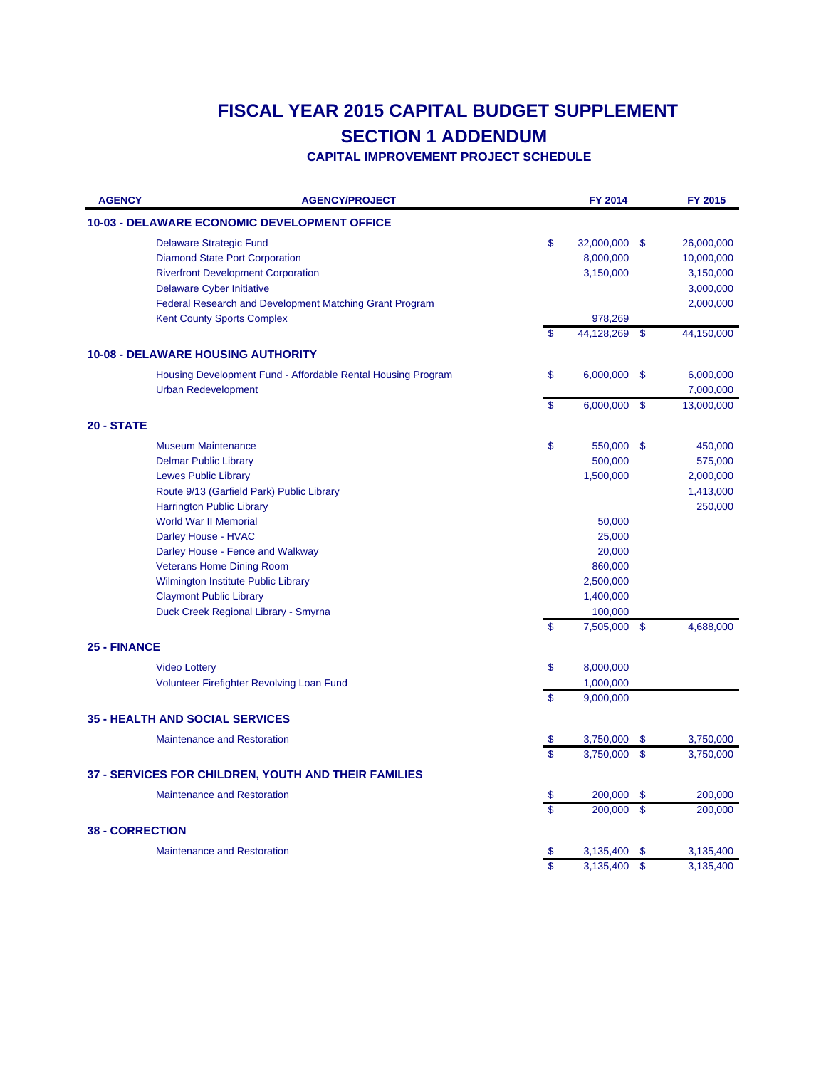| <b>AGENCY</b>          | <b>AGENCY/PROJECT</b>                                        |                         | FY 2014      |               | FY 2015    |
|------------------------|--------------------------------------------------------------|-------------------------|--------------|---------------|------------|
|                        | <b>10-03 - DELAWARE ECONOMIC DEVELOPMENT OFFICE</b>          |                         |              |               |            |
|                        | <b>Delaware Strategic Fund</b>                               | \$                      | 32,000,000   | -\$           | 26,000,000 |
|                        | <b>Diamond State Port Corporation</b>                        |                         | 8,000,000    |               | 10,000,000 |
|                        | <b>Riverfront Development Corporation</b>                    |                         | 3,150,000    |               | 3,150,000  |
|                        | <b>Delaware Cyber Initiative</b>                             |                         |              |               | 3,000,000  |
|                        | Federal Research and Development Matching Grant Program      |                         |              |               | 2,000,000  |
|                        | <b>Kent County Sports Complex</b>                            |                         | 978,269      |               |            |
|                        |                                                              | \$                      | 44,128,269   | $\mathbf{\$}$ | 44,150,000 |
|                        | <b>10-08 - DELAWARE HOUSING AUTHORITY</b>                    |                         |              |               |            |
|                        | Housing Development Fund - Affordable Rental Housing Program | \$                      | 6,000,000    | \$            | 6,000,000  |
|                        | <b>Urban Redevelopment</b>                                   |                         |              |               | 7,000,000  |
|                        |                                                              | \$                      | 6,000,000    | $\mathbf{\$}$ | 13,000,000 |
| <b>20 - STATE</b>      |                                                              |                         |              |               |            |
|                        | <b>Museum Maintenance</b>                                    | \$                      | 550,000      | -\$           | 450,000    |
|                        | <b>Delmar Public Library</b>                                 |                         | 500,000      |               | 575,000    |
|                        | <b>Lewes Public Library</b>                                  |                         | 1,500,000    |               | 2,000,000  |
|                        | Route 9/13 (Garfield Park) Public Library                    |                         |              |               | 1,413,000  |
|                        | <b>Harrington Public Library</b>                             |                         |              |               | 250,000    |
|                        | <b>World War II Memorial</b>                                 |                         | 50,000       |               |            |
|                        | Darley House - HVAC                                          |                         | 25,000       |               |            |
|                        | Darley House - Fence and Walkway                             |                         | 20,000       |               |            |
|                        | <b>Veterans Home Dining Room</b>                             |                         | 860,000      |               |            |
|                        | Wilmington Institute Public Library                          |                         | 2,500,000    |               |            |
|                        | <b>Claymont Public Library</b>                               |                         | 1,400,000    |               |            |
|                        | Duck Creek Regional Library - Smyrna                         |                         | 100,000      |               |            |
|                        |                                                              | $\mathbf{s}$            | 7,505,000 \$ |               | 4,688,000  |
| 25 - FINANCE           |                                                              |                         |              |               |            |
|                        | <b>Video Lottery</b>                                         | \$                      | 8,000,000    |               |            |
|                        | <b>Volunteer Firefighter Revolving Loan Fund</b>             |                         | 1,000,000    |               |            |
|                        |                                                              | $\mathbf{s}$            | 9,000,000    |               |            |
|                        | <b>35 - HEALTH AND SOCIAL SERVICES</b>                       |                         |              |               |            |
|                        | <b>Maintenance and Restoration</b>                           | \$                      | 3,750,000    | -S            | 3,750,000  |
|                        |                                                              | $\mathbf{\hat{s}}$      | 3,750,000    | $\mathbf{s}$  | 3,750,000  |
|                        | 37 - SERVICES FOR CHILDREN, YOUTH AND THEIR FAMILIES         |                         |              |               |            |
|                        | <b>Maintenance and Restoration</b>                           | \$                      | 200,000      | \$            | 200,000    |
|                        |                                                              | $\overline{\mathbf{s}}$ | 200,000      | $\mathsf{\$}$ | 200,000    |
| <b>38 - CORRECTION</b> |                                                              |                         |              |               |            |
|                        | <b>Maintenance and Restoration</b>                           |                         | 3,135,400    | -S            | 3,135,400  |
|                        |                                                              | \$                      | 3,135,400    | $\mathbf{s}$  | 3,135,400  |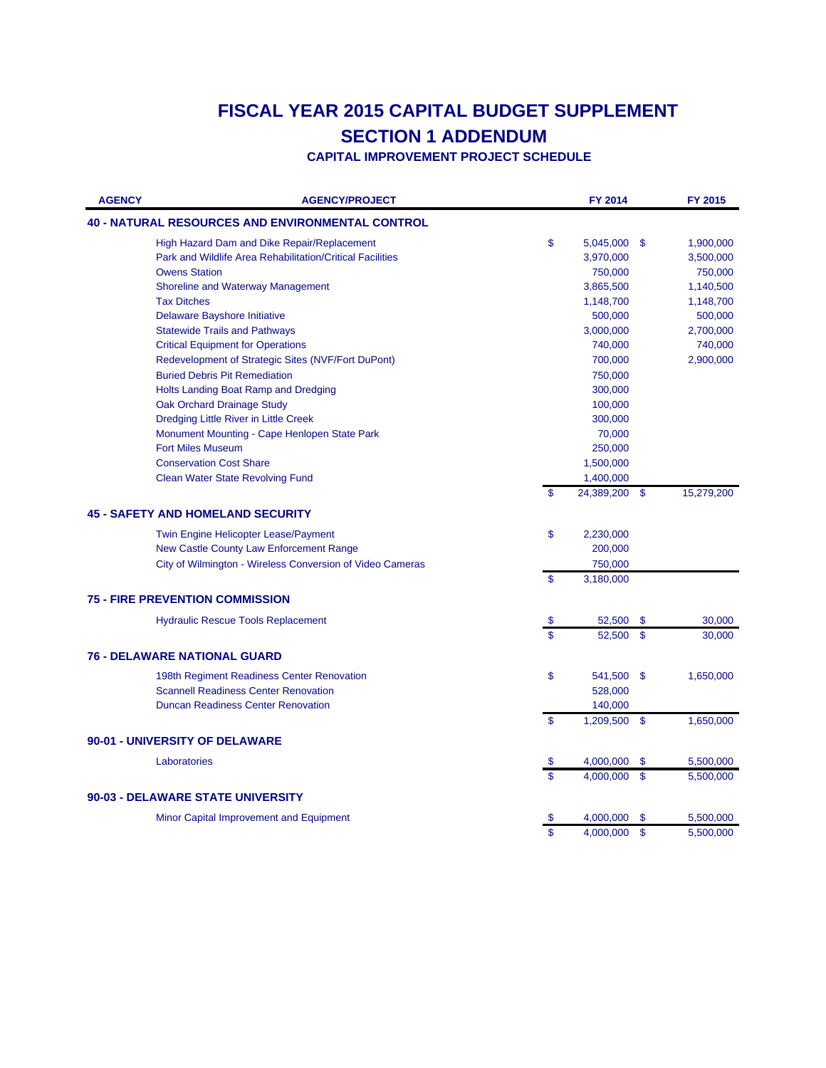| <b>AGENCY</b> | <b>AGENCY/PROJECT</b>                                     |                         | FY 2014    |               | FY 2015    |
|---------------|-----------------------------------------------------------|-------------------------|------------|---------------|------------|
|               | <b>40 - NATURAL RESOURCES AND ENVIRONMENTAL CONTROL</b>   |                         |            |               |            |
|               | High Hazard Dam and Dike Repair/Replacement               | \$                      | 5,045,000  | - \$          | 1,900,000  |
|               | Park and Wildlife Area Rehabilitation/Critical Facilities |                         | 3,970,000  |               | 3,500,000  |
|               | <b>Owens Station</b>                                      |                         | 750,000    |               | 750,000    |
|               | Shoreline and Waterway Management                         |                         | 3,865,500  |               | 1,140,500  |
|               | <b>Tax Ditches</b>                                        |                         | 1,148,700  |               | 1,148,700  |
|               | Delaware Bayshore Initiative                              |                         | 500,000    |               | 500,000    |
|               | <b>Statewide Trails and Pathways</b>                      |                         | 3,000,000  |               | 2,700,000  |
|               | <b>Critical Equipment for Operations</b>                  |                         | 740,000    |               | 740,000    |
|               | Redevelopment of Strategic Sites (NVF/Fort DuPont)        |                         | 700,000    |               | 2,900,000  |
|               | <b>Buried Debris Pit Remediation</b>                      |                         | 750,000    |               |            |
|               | Holts Landing Boat Ramp and Dredging                      |                         | 300,000    |               |            |
|               | Oak Orchard Drainage Study                                |                         | 100,000    |               |            |
|               | Dredging Little River in Little Creek                     |                         | 300,000    |               |            |
|               | Monument Mounting - Cape Henlopen State Park              |                         | 70,000     |               |            |
|               | <b>Fort Miles Museum</b>                                  |                         | 250,000    |               |            |
|               | <b>Conservation Cost Share</b>                            |                         | 1,500,000  |               |            |
|               | <b>Clean Water State Revolving Fund</b>                   |                         | 1,400,000  |               |            |
|               |                                                           | \$                      | 24,389,200 | - \$          | 15,279,200 |
|               | <b>45 - SAFETY AND HOMELAND SECURITY</b>                  |                         |            |               |            |
|               | Twin Engine Helicopter Lease/Payment                      | \$                      | 2,230,000  |               |            |
|               | New Castle County Law Enforcement Range                   |                         | 200,000    |               |            |
|               | City of Wilmington - Wireless Conversion of Video Cameras |                         | 750,000    |               |            |
|               |                                                           | \$                      | 3,180,000  |               |            |
|               | <b>75 - FIRE PREVENTION COMMISSION</b>                    |                         |            |               |            |
|               | <b>Hydraulic Rescue Tools Replacement</b>                 | \$                      | 52,500     | -\$           | 30,000     |
|               |                                                           | $\overline{\mathbf{s}}$ | 52,500     | $\mathbf{s}$  | 30,000     |
|               | <b>76 - DELAWARE NATIONAL GUARD</b>                       |                         |            |               |            |
|               | 198th Regiment Readiness Center Renovation                | \$                      | 541,500    | - \$          | 1,650,000  |
|               | <b>Scannell Readiness Center Renovation</b>               |                         | 528,000    |               |            |
|               | <b>Duncan Readiness Center Renovation</b>                 |                         | 140,000    |               |            |
|               |                                                           | \$                      | 1,209,500  | $\mathbf{\$}$ | 1,650,000  |
|               | 90-01 - UNIVERSITY OF DELAWARE                            |                         |            |               |            |
|               | Laboratories                                              |                         | 4,000,000  | \$            |            |
|               |                                                           | \$<br>\$                |            | $\mathbf{s}$  | 5,500,000  |
|               |                                                           |                         | 4,000,000  |               | 5,500,000  |
|               | <b>90-03 - DELAWARE STATE UNIVERSITY</b>                  |                         |            |               |            |
|               | Minor Capital Improvement and Equipment                   | \$                      | 4,000,000  | \$            | 5,500,000  |
|               |                                                           | \$                      | 4.000.000  | $\mathsf{\$}$ | 5,500,000  |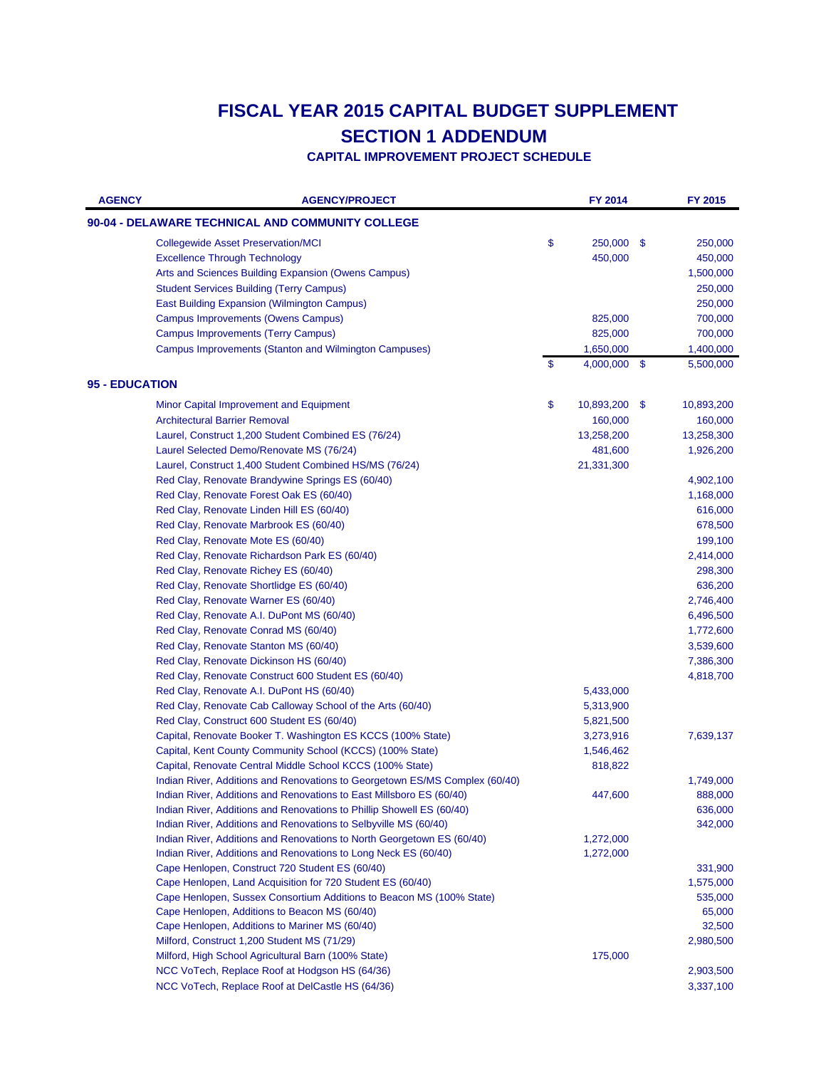| <b>AGENCY</b>         | <b>AGENCY/PROJECT</b>                                                                                 | FY 2014          |     | FY 2015                |
|-----------------------|-------------------------------------------------------------------------------------------------------|------------------|-----|------------------------|
|                       | 90-04 - DELAWARE TECHNICAL AND COMMUNITY COLLEGE                                                      |                  |     |                        |
|                       | <b>Collegewide Asset Preservation/MCI</b>                                                             | \$<br>250,000    | -S  | 250,000                |
|                       | <b>Excellence Through Technology</b>                                                                  | 450,000          |     | 450,000                |
|                       | Arts and Sciences Building Expansion (Owens Campus)                                                   |                  |     | 1,500,000              |
|                       | <b>Student Services Building (Terry Campus)</b>                                                       |                  |     | 250,000                |
|                       | <b>East Building Expansion (Wilmington Campus)</b>                                                    |                  |     | 250,000                |
|                       | Campus Improvements (Owens Campus)                                                                    | 825,000          |     | 700,000                |
|                       | <b>Campus Improvements (Terry Campus)</b>                                                             | 825,000          |     | 700,000                |
|                       | Campus Improvements (Stanton and Wilmington Campuses)                                                 | 1,650,000        |     | 1,400,000              |
|                       |                                                                                                       | \$<br>4,000,000  | \$  | 5,500,000              |
| <b>95 - EDUCATION</b> |                                                                                                       |                  |     |                        |
|                       | Minor Capital Improvement and Equipment                                                               | \$<br>10,893,200 | -\$ | 10,893,200             |
|                       | <b>Architectural Barrier Removal</b>                                                                  | 160,000          |     | 160,000                |
|                       | Laurel, Construct 1,200 Student Combined ES (76/24)                                                   | 13,258,200       |     | 13,258,300             |
|                       | Laurel Selected Demo/Renovate MS (76/24)                                                              | 481,600          |     | 1,926,200              |
|                       | Laurel, Construct 1,400 Student Combined HS/MS (76/24)                                                | 21,331,300       |     |                        |
|                       | Red Clay, Renovate Brandywine Springs ES (60/40)                                                      |                  |     | 4,902,100              |
|                       | Red Clay, Renovate Forest Oak ES (60/40)                                                              |                  |     | 1,168,000              |
|                       | Red Clay, Renovate Linden Hill ES (60/40)                                                             |                  |     | 616,000                |
|                       | Red Clay, Renovate Marbrook ES (60/40)                                                                |                  |     | 678,500                |
|                       | Red Clay, Renovate Mote ES (60/40)                                                                    |                  |     | 199,100                |
|                       | Red Clay, Renovate Richardson Park ES (60/40)                                                         |                  |     | 2,414,000              |
|                       | Red Clay, Renovate Richey ES (60/40)                                                                  |                  |     | 298,300                |
|                       | Red Clay, Renovate Shortlidge ES (60/40)                                                              |                  |     | 636,200                |
|                       | Red Clay, Renovate Warner ES (60/40)                                                                  |                  |     | 2,746,400              |
|                       | Red Clay, Renovate A.I. DuPont MS (60/40)                                                             |                  |     | 6,496,500              |
|                       | Red Clay, Renovate Conrad MS (60/40)                                                                  |                  |     | 1,772,600              |
|                       | Red Clay, Renovate Stanton MS (60/40)                                                                 |                  |     | 3,539,600              |
|                       | Red Clay, Renovate Dickinson HS (60/40)                                                               |                  |     | 7,386,300              |
|                       | Red Clay, Renovate Construct 600 Student ES (60/40)                                                   |                  |     | 4,818,700              |
|                       | Red Clay, Renovate A.I. DuPont HS (60/40)                                                             | 5,433,000        |     |                        |
|                       | Red Clay, Renovate Cab Calloway School of the Arts (60/40)                                            | 5,313,900        |     |                        |
|                       | Red Clay, Construct 600 Student ES (60/40)                                                            | 5,821,500        |     |                        |
|                       | Capital, Renovate Booker T. Washington ES KCCS (100% State)                                           | 3,273,916        |     | 7,639,137              |
|                       | Capital, Kent County Community School (KCCS) (100% State)                                             | 1,546,462        |     |                        |
|                       | Capital, Renovate Central Middle School KCCS (100% State)                                             | 818,822          |     |                        |
|                       | Indian River, Additions and Renovations to Georgetown ES/MS Complex (60/40)                           |                  |     | 1,749,000              |
|                       | Indian River, Additions and Renovations to East Millsboro ES (60/40)                                  | 447,600          |     | 888,000                |
|                       | Indian River, Additions and Renovations to Phillip Showell ES (60/40)                                 |                  |     | 636,000                |
|                       | Indian River, Additions and Renovations to Selbyville MS (60/40)                                      |                  |     | 342,000                |
|                       | Indian River, Additions and Renovations to North Georgetown ES (60/40)                                | 1,272,000        |     |                        |
|                       | Indian River, Additions and Renovations to Long Neck ES (60/40)                                       | 1,272,000        |     |                        |
|                       | Cape Henlopen, Construct 720 Student ES (60/40)                                                       |                  |     | 331,900                |
|                       | Cape Henlopen, Land Acquisition for 720 Student ES (60/40)                                            |                  |     | 1,575,000              |
|                       | Cape Henlopen, Sussex Consortium Additions to Beacon MS (100% State)                                  |                  |     | 535,000                |
|                       | Cape Henlopen, Additions to Beacon MS (60/40)                                                         |                  |     | 65,000                 |
|                       | Cape Henlopen, Additions to Mariner MS (60/40)                                                        |                  |     | 32,500                 |
|                       | Milford, Construct 1,200 Student MS (71/29)                                                           |                  |     | 2,980,500              |
|                       | Milford, High School Agricultural Barn (100% State)<br>NCC VoTech, Replace Roof at Hodgson HS (64/36) | 175,000          |     |                        |
|                       | NCC VoTech, Replace Roof at DelCastle HS (64/36)                                                      |                  |     | 2,903,500<br>3,337,100 |
|                       |                                                                                                       |                  |     |                        |